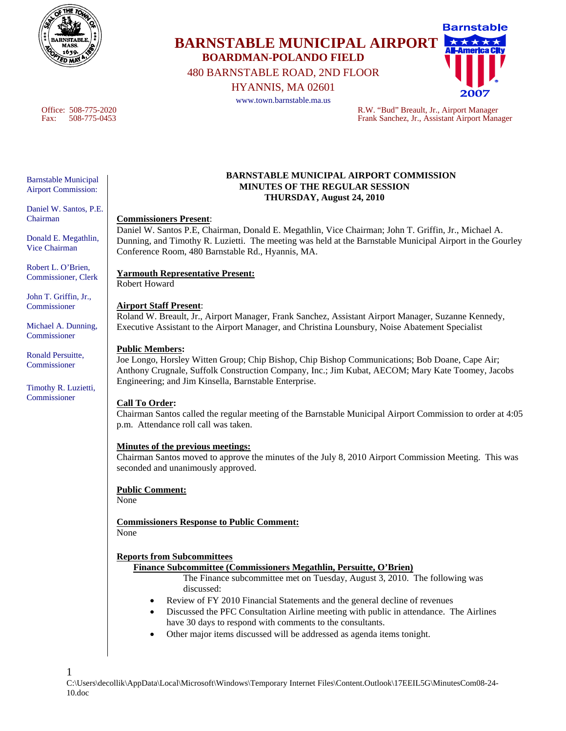

# **Barnstable BARNSTABLE MUNICIPAL AIRPORT BOARDMAN-POLANDO FIELD**  480 BARNSTABLE ROAD, 2ND FLOOR

HYANNIS, MA 02601

www.town.barnstable.ma.us

Office: 508-775-2020 R.W. "Bud" Breault, Jr., Airport Manager Fax: 508-775-0453 Frank Sanchez, Jr., Assistant Airport Manager

Barnstable Municipal Airport Commission:

Daniel W. Santos, P.E. Chairman

Donald E. Megathlin, Vice Chairman

Robert L. O'Brien, Commissioner, Clerk

John T. Griffin, Jr., **Commissioner** 

Michael A. Dunning, Commissioner

Ronald Persuitte, Commissioner

Timothy R. Luzietti, Commissioner

1

#### **BARNSTABLE MUNICIPAL AIRPORT COMMISSION MINUTES OF THE REGULAR SESSION THURSDAY, August 24, 2010**

### **Commissioners Present**:

Daniel W. Santos P.E, Chairman, Donald E. Megathlin, Vice Chairman; John T. Griffin, Jr., Michael A. Dunning, and Timothy R. Luzietti. The meeting was held at the Barnstable Municipal Airport in the Gourley Conference Room, 480 Barnstable Rd., Hyannis, MA.

## **Yarmouth Representative Present:**

Robert Howard

## **Airport Staff Present**:

Roland W. Breault, Jr., Airport Manager, Frank Sanchez, Assistant Airport Manager, Suzanne Kennedy, Executive Assistant to the Airport Manager, and Christina Lounsbury, Noise Abatement Specialist

### **Public Members:**

Joe Longo, Horsley Witten Group; Chip Bishop, Chip Bishop Communications; Bob Doane, Cape Air; Anthony Crugnale, Suffolk Construction Company, Inc.; Jim Kubat, AECOM; Mary Kate Toomey, Jacobs Engineering; and Jim Kinsella, Barnstable Enterprise.

## **Call To Order:**

Chairman Santos called the regular meeting of the Barnstable Municipal Airport Commission to order at 4:05 p.m. Attendance roll call was taken.

## **Minutes of the previous meetings:**

Chairman Santos moved to approve the minutes of the July 8, 2010 Airport Commission Meeting. This was seconded and unanimously approved.

## **Public Comment:**

None

**Commissioners Response to Public Comment:** None

## **Reports from Subcommittees**

#### **Finance Subcommittee (Commissioners Megathlin, Persuitte, O'Brien)**

The Finance subcommittee met on Tuesday, August 3, 2010. The following was discussed:

- Review of FY 2010 Financial Statements and the general decline of revenues
- Discussed the PFC Consultation Airline meeting with public in attendance. The Airlines have 30 days to respond with comments to the consultants.
- Other major items discussed will be addressed as agenda items tonight.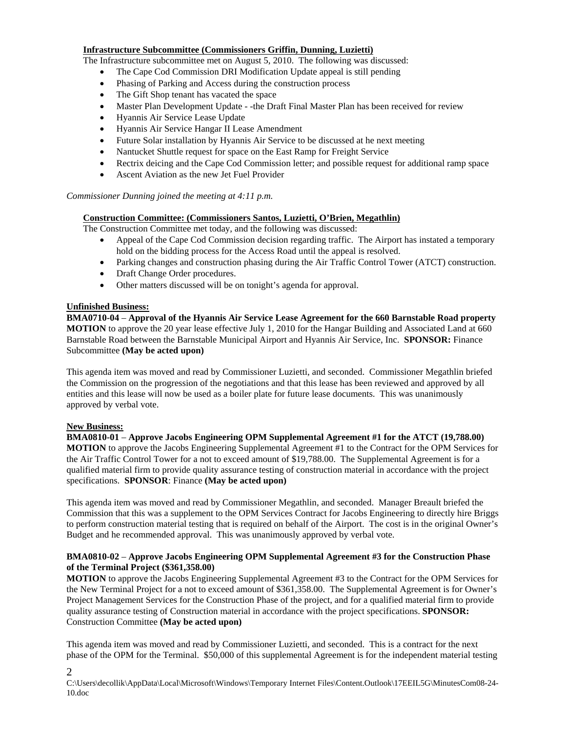#### **Infrastructure Subcommittee (Commissioners Griffin, Dunning, Luzietti)**

The Infrastructure subcommittee met on August 5, 2010. The following was discussed:

- The Cape Cod Commission DRI Modification Update appeal is still pending
- Phasing of Parking and Access during the construction process
- The Gift Shop tenant has vacated the space
- Master Plan Development Update -the Draft Final Master Plan has been received for review
- Hyannis Air Service Lease Update
- Hyannis Air Service Hangar II Lease Amendment
- Future Solar installation by Hyannis Air Service to be discussed at he next meeting
- Nantucket Shuttle request for space on the East Ramp for Freight Service
- Rectrix deicing and the Cape Cod Commission letter; and possible request for additional ramp space
- Ascent Aviation as the new Jet Fuel Provider

#### *Commissioner Dunning joined the meeting at 4:11 p.m.*

#### **Construction Committee: (Commissioners Santos, Luzietti, O'Brien, Megathlin)**

The Construction Committee met today, and the following was discussed:

- Appeal of the Cape Cod Commission decision regarding traffic. The Airport has instated a temporary hold on the bidding process for the Access Road until the appeal is resolved.
- Parking changes and construction phasing during the Air Traffic Control Tower (ATCT) construction.
- Draft Change Order procedures.
- Other matters discussed will be on tonight's agenda for approval.

#### **Unfinished Business:**

**BMA0710-04** – **Approval of the Hyannis Air Service Lease Agreement for the 660 Barnstable Road property MOTION** to approve the 20 year lease effective July 1, 2010 for the Hangar Building and Associated Land at 660 Barnstable Road between the Barnstable Municipal Airport and Hyannis Air Service, Inc. **SPONSOR:** Finance Subcommittee **(May be acted upon)**

This agenda item was moved and read by Commissioner Luzietti, and seconded. Commissioner Megathlin briefed the Commission on the progression of the negotiations and that this lease has been reviewed and approved by all entities and this lease will now be used as a boiler plate for future lease documents. This was unanimously approved by verbal vote.

#### **New Business:**

2

**BMA0810-01** – **Approve Jacobs Engineering OPM Supplemental Agreement #1 for the ATCT (19,788.00) MOTION** to approve the Jacobs Engineering Supplemental Agreement #1 to the Contract for the OPM Services for the Air Traffic Control Tower for a not to exceed amount of \$19,788.00. The Supplemental Agreement is for a qualified material firm to provide quality assurance testing of construction material in accordance with the project specifications. **SPONSOR**: Finance **(May be acted upon)** 

This agenda item was moved and read by Commissioner Megathlin, and seconded. Manager Breault briefed the Commission that this was a supplement to the OPM Services Contract for Jacobs Engineering to directly hire Briggs to perform construction material testing that is required on behalf of the Airport. The cost is in the original Owner's Budget and he recommended approval. This was unanimously approved by verbal vote.

#### **BMA0810-02** – **Approve Jacobs Engineering OPM Supplemental Agreement #3 for the Construction Phase of the Terminal Project (\$361,358.00)**

**MOTION** to approve the Jacobs Engineering Supplemental Agreement #3 to the Contract for the OPM Services for the New Terminal Project for a not to exceed amount of \$361,358.00. The Supplemental Agreement is for Owner's Project Management Services for the Construction Phase of the project, and for a qualified material firm to provide quality assurance testing of Construction material in accordance with the project specifications. **SPONSOR:** Construction Committee **(May be acted upon)**

This agenda item was moved and read by Commissioner Luzietti, and seconded. This is a contract for the next phase of the OPM for the Terminal. \$50,000 of this supplemental Agreement is for the independent material testing

C:\Users\decollik\AppData\Local\Microsoft\Windows\Temporary Internet Files\Content.Outlook\17EEIL5G\MinutesCom08-24- 10.doc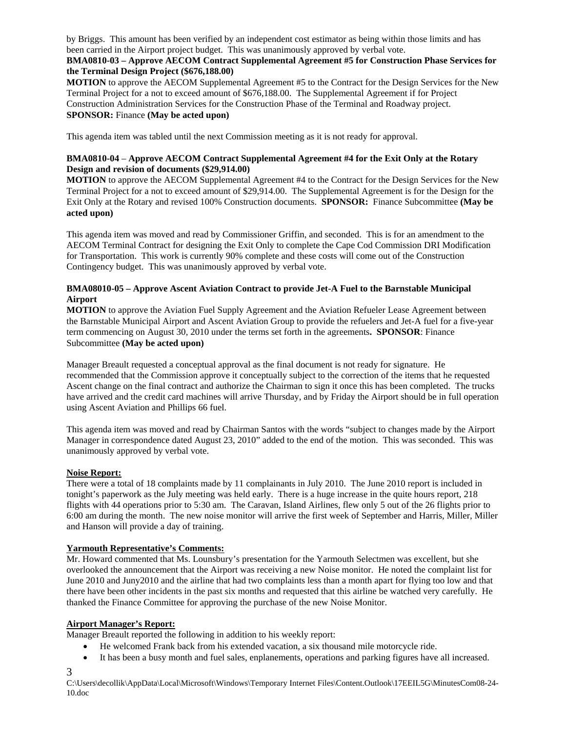by Briggs. This amount has been verified by an independent cost estimator as being within those limits and has been carried in the Airport project budget. This was unanimously approved by verbal vote.

#### **BMA0810-03 – Approve AECOM Contract Supplemental Agreement #5 for Construction Phase Services for the Terminal Design Project (\$676,188.00)**

**MOTION** to approve the AECOM Supplemental Agreement #5 to the Contract for the Design Services for the New Terminal Project for a not to exceed amount of \$676,188.00. The Supplemental Agreement if for Project Construction Administration Services for the Construction Phase of the Terminal and Roadway project. **SPONSOR:** Finance **(May be acted upon)** 

This agenda item was tabled until the next Commission meeting as it is not ready for approval.

### **BMA0810-04** – **Approve AECOM Contract Supplemental Agreement #4 for the Exit Only at the Rotary Design and revision of documents (\$29,914.00)**

**MOTION** to approve the AECOM Supplemental Agreement #4 to the Contract for the Design Services for the New Terminal Project for a not to exceed amount of \$29,914.00. The Supplemental Agreement is for the Design for the Exit Only at the Rotary and revised 100% Construction documents. **SPONSOR:** Finance Subcommittee **(May be acted upon)**

This agenda item was moved and read by Commissioner Griffin, and seconded. This is for an amendment to the AECOM Terminal Contract for designing the Exit Only to complete the Cape Cod Commission DRI Modification for Transportation. This work is currently 90% complete and these costs will come out of the Construction Contingency budget. This was unanimously approved by verbal vote.

### **BMA08010-05 – Approve Ascent Aviation Contract to provide Jet-A Fuel to the Barnstable Municipal Airport**

**MOTION** to approve the Aviation Fuel Supply Agreement and the Aviation Refueler Lease Agreement between the Barnstable Municipal Airport and Ascent Aviation Group to provide the refuelers and Jet-A fuel for a five-year term commencing on August 30, 2010 under the terms set forth in the agreements**. SPONSOR**: Finance Subcommittee **(May be acted upon)**

Manager Breault requested a conceptual approval as the final document is not ready for signature. He recommended that the Commission approve it conceptually subject to the correction of the items that he requested Ascent change on the final contract and authorize the Chairman to sign it once this has been completed. The trucks have arrived and the credit card machines will arrive Thursday, and by Friday the Airport should be in full operation using Ascent Aviation and Phillips 66 fuel.

This agenda item was moved and read by Chairman Santos with the words "subject to changes made by the Airport Manager in correspondence dated August 23, 2010" added to the end of the motion. This was seconded. This was unanimously approved by verbal vote.

## **Noise Report:**

There were a total of 18 complaints made by 11 complainants in July 2010. The June 2010 report is included in tonight's paperwork as the July meeting was held early. There is a huge increase in the quite hours report, 218 flights with 44 operations prior to 5:30 am. The Caravan, Island Airlines, flew only 5 out of the 26 flights prior to 6:00 am during the month. The new noise monitor will arrive the first week of September and Harris, Miller, Miller and Hanson will provide a day of training.

# **Yarmouth Representative's Comments:**

Mr. Howard commented that Ms. Lounsbury's presentation for the Yarmouth Selectmen was excellent, but she overlooked the announcement that the Airport was receiving a new Noise monitor. He noted the complaint list for June 2010 and Juny2010 and the airline that had two complaints less than a month apart for flying too low and that there have been other incidents in the past six months and requested that this airline be watched very carefully. He thanked the Finance Committee for approving the purchase of the new Noise Monitor.

## **Airport Manager's Report:**

Manager Breault reported the following in addition to his weekly report:

- He welcomed Frank back from his extended vacation, a six thousand mile motorcycle ride.
- It has been a busy month and fuel sales, enplanements, operations and parking figures have all increased.

C:\Users\decollik\AppData\Local\Microsoft\Windows\Temporary Internet Files\Content.Outlook\17EEIL5G\MinutesCom08-24- 10.doc